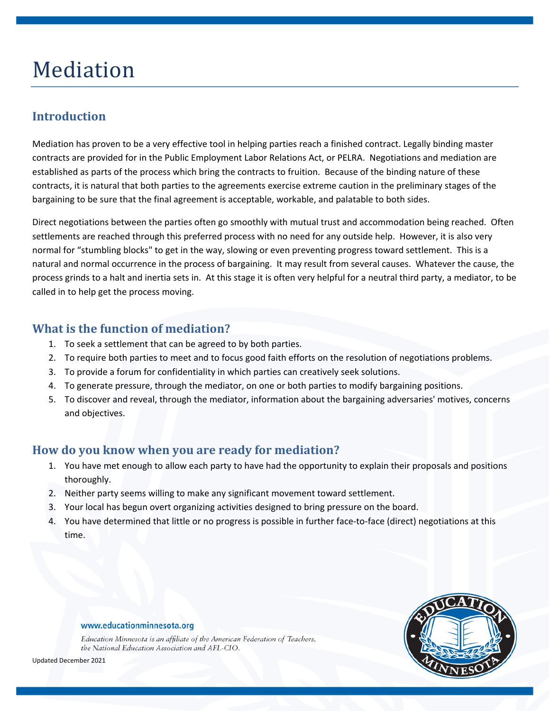# Mediation

# **Introduction**

Mediation has proven to be a very effective tool in helping parties reach a finished contract. Legally binding master contracts are provided for in the Public Employment Labor Relations Act, or PELRA. Negotiations and mediation are established as parts of the process which bring the contracts to fruition. Because of the binding nature of these contracts, it is natural that both parties to the agreements exercise extreme caution in the preliminary stages of the bargaining to be sure that the final agreement is acceptable, workable, and palatable to both sides.

Direct negotiations between the parties often go smoothly with mutual trust and accommodation being reached. Often settlements are reached through this preferred process with no need for any outside help. However, it is also very normal for "stumbling blocks" to get in the way, slowing or even preventing progress toward settlement. This is a natural and normal occurrence in the process of bargaining. It may result from several causes. Whatever the cause, the process grinds to a halt and inertia sets in. At this stage it is often very helpful for a neutral third party, a mediator, to be called in to help get the process moving.

#### **What is the function of mediation?**

- 1. To seek a settlement that can be agreed to by both parties.
- 2. To require both parties to meet and to focus good faith efforts on the resolution of negotiations problems.
- 3. To provide a forum for confidentiality in which parties can creatively seek solutions.
- 4. To generate pressure, through the mediator, on one or both parties to modify bargaining positions.
- 5. To discover and reveal, through the mediator, information about the bargaining adversaries' motives, concerns and objectives.

#### **How do you know when you are ready for mediation?**

- 1. You have met enough to allow each party to have had the opportunity to explain their proposals and positions thoroughly.
- 2. Neither party seems willing to make any significant movement toward settlement.
- 3. Your local has begun overt organizing activities designed to bring pressure on the board.
- 4. You have determined that little or no progress is possible in further face-to-face (direct) negotiations at this time.



Education Minnesota is an affiliate of the American Federation of Teachers, the National Education Association and AFL-CIO.



Updated December 2021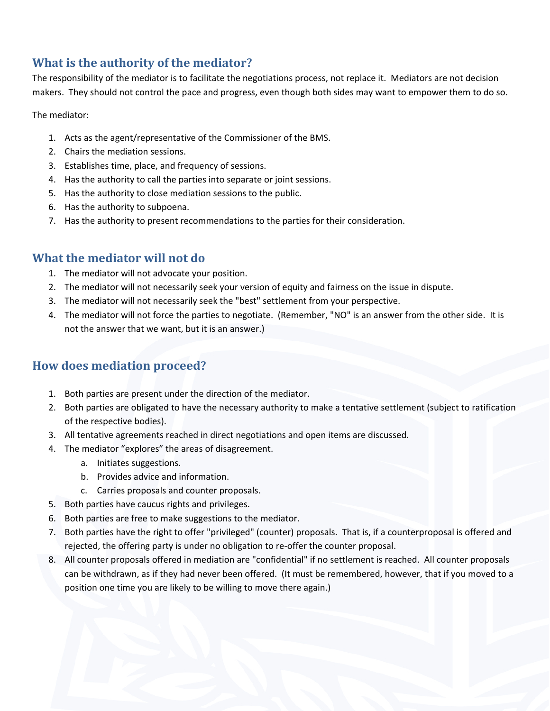# **What is the authority of the mediator?**

The responsibility of the mediator is to facilitate the negotiations process, not replace it. Mediators are not decision makers. They should not control the pace and progress, even though both sides may want to empower them to do so.

The mediator:

- 1. Acts as the agent/representative of the Commissioner of the BMS.
- 2. Chairs the mediation sessions.
- 3. Establishes time, place, and frequency of sessions.
- 4. Has the authority to call the parties into separate or joint sessions.
- 5. Has the authority to close mediation sessions to the public.
- 6. Has the authority to subpoena.
- 7. Has the authority to present recommendations to the parties for their consideration.

#### **What the mediator will not do**

- 1. The mediator will not advocate your position.
- 2. The mediator will not necessarily seek your version of equity and fairness on the issue in dispute.
- 3. The mediator will not necessarily seek the "best" settlement from your perspective.
- 4. The mediator will not force the parties to negotiate. (Remember, "NO" is an answer from the other side. It is not the answer that we want, but it is an answer.)

#### **How does mediation proceed?**

- 1. Both parties are present under the direction of the mediator.
- 2. Both parties are obligated to have the necessary authority to make a tentative settlement (subject to ratification of the respective bodies).
- 3. All tentative agreements reached in direct negotiations and open items are discussed.
- 4. The mediator "explores" the areas of disagreement.
	- a. Initiates suggestions.
	- b. Provides advice and information.
	- c. Carries proposals and counter proposals.
- 5. Both parties have caucus rights and privileges.
- 6. Both parties are free to make suggestions to the mediator.
- 7. Both parties have the right to offer "privileged" (counter) proposals. That is, if a counterproposal is offered and rejected, the offering party is under no obligation to re-offer the counter proposal.
- 8. All counter proposals offered in mediation are "confidential" if no settlement is reached. All counter proposals can be withdrawn, as if they had never been offered. (It must be remembered, however, that if you moved to a position one time you are likely to be willing to move there again.)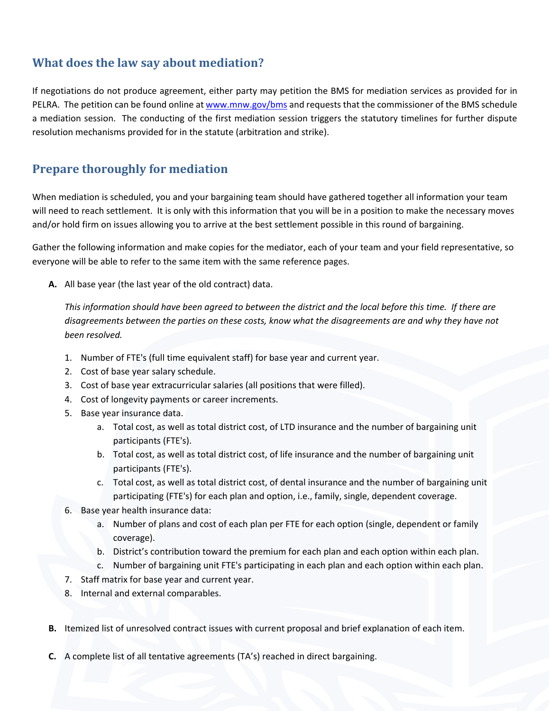## **What does the law say about mediation?**

If negotiations do not produce agreement, either party may petition the BMS for mediation services as provided for in PELRA. The petition can be found online a[t www.mnw.gov/bms](http://www.mn.gov/bms) and requests that the commissioner of the BMS schedule a mediation session. The conducting of the first mediation session triggers the statutory timelines for further dispute resolution mechanisms provided for in the statute (arbitration and strike).

# **Prepare thoroughly for mediation**

When mediation is scheduled, you and your bargaining team should have gathered together all information your team will need to reach settlement. It is only with this information that you will be in a position to make the necessary moves and/or hold firm on issues allowing you to arrive at the best settlement possible in this round of bargaining.

Gather the following information and make copies for the mediator, each of your team and your field representative, so everyone will be able to refer to the same item with the same reference pages.

**A.** All base year (the last year of the old contract) data.

*This information should have been agreed to between the district and the local before this time. If there are disagreements between the parties on these costs, know what the disagreements are and why they have not been resolved.*

- 1. Number of FTE's (full time equivalent staff) for base year and current year.
- 2. Cost of base year salary schedule.
- 3. Cost of base year extracurricular salaries (all positions that were filled).
- 4. Cost of longevity payments or career increments.
- 5. Base year insurance data.
	- a. Total cost, as well as total district cost, of LTD insurance and the number of bargaining unit participants (FTE's).
	- b. Total cost, as well as total district cost, of life insurance and the number of bargaining unit participants (FTE's).
	- c. Total cost, as well as total district cost, of dental insurance and the number of bargaining unit participating (FTE's) for each plan and option, i.e., family, single, dependent coverage.
- 6. Base year health insurance data:
	- a. Number of plans and cost of each plan per FTE for each option (single, dependent or family coverage).
	- b. District's contribution toward the premium for each plan and each option within each plan.
	- c. Number of bargaining unit FTE's participating in each plan and each option within each plan.
- 7. Staff matrix for base year and current year.
- 8. Internal and external comparables.
- **B.** Itemized list of unresolved contract issues with current proposal and brief explanation of each item.
- **C.** A complete list of all tentative agreements (TA's) reached in direct bargaining.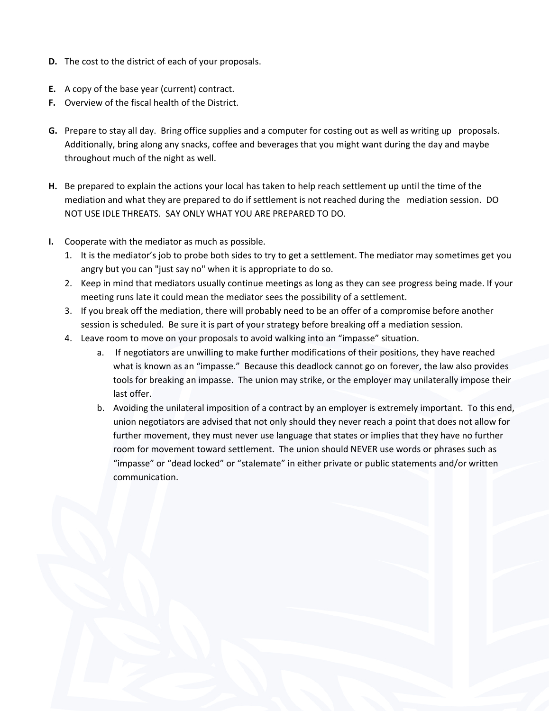- **D.** The cost to the district of each of your proposals.
- **E.** A copy of the base year (current) contract.
- **F.** Overview of the fiscal health of the District.
- **G.** Prepare to stay all day. Bring office supplies and a computer for costing out as well as writing up proposals. Additionally, bring along any snacks, coffee and beverages that you might want during the day and maybe throughout much of the night as well.
- **H.** Be prepared to explain the actions your local has taken to help reach settlement up until the time of the mediation and what they are prepared to do if settlement is not reached during the mediation session. DO NOT USE IDLE THREATS. SAY ONLY WHAT YOU ARE PREPARED TO DO.
- **I.** Cooperate with the mediator as much as possible.
	- 1. It is the mediator's job to probe both sides to try to get a settlement. The mediator may sometimes get you angry but you can "just say no" when it is appropriate to do so.
	- 2. Keep in mind that mediators usually continue meetings as long as they can see progress being made. If your meeting runs late it could mean the mediator sees the possibility of a settlement.
	- 3. If you break off the mediation, there will probably need to be an offer of a compromise before another session is scheduled. Be sure it is part of your strategy before breaking off a mediation session.
	- 4. Leave room to move on your proposals to avoid walking into an "impasse" situation.
		- a. If negotiators are unwilling to make further modifications of their positions, they have reached what is known as an "impasse." Because this deadlock cannot go on forever, the law also provides tools for breaking an impasse. The union may strike, or the employer may unilaterally impose their last offer.
		- b. Avoiding the unilateral imposition of a contract by an employer is extremely important. To this end, union negotiators are advised that not only should they never reach a point that does not allow for further movement, they must never use language that states or implies that they have no further room for movement toward settlement. The union should NEVER use words or phrases such as "impasse" or "dead locked" or "stalemate" in either private or public statements and/or written communication.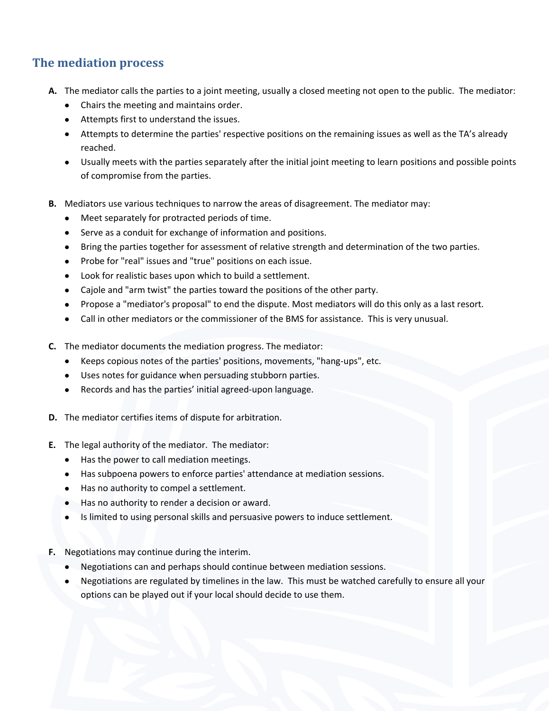### **The mediation process**

- **A.** The mediator calls the parties to a joint meeting, usually a closed meeting not open to the public. The mediator:
	- Chairs the meeting and maintains order.
	- Attempts first to understand the issues.
	- Attempts to determine the parties' respective positions on the remaining issues as well as the TA's already reached.
	- Usually meets with the parties separately after the initial joint meeting to learn positions and possible points of compromise from the parties.
- **B.** Mediators use various techniques to narrow the areas of disagreement. The mediator may:
	- Meet separately for protracted periods of time.
	- Serve as a conduit for exchange of information and positions.
	- Bring the parties together for assessment of relative strength and determination of the two parties.
	- Probe for "real" issues and "true" positions on each issue.
	- Look for realistic bases upon which to build a settlement.
	- Cajole and "arm twist" the parties toward the positions of the other party.
	- Propose a "mediator's proposal" to end the dispute. Most mediators will do this only as a last resort.
	- Call in other mediators or the commissioner of the BMS for assistance. This is very unusual.
- **C.** The mediator documents the mediation progress. The mediator:
	- Keeps copious notes of the parties' positions, movements, "hang-ups", etc.
	- Uses notes for guidance when persuading stubborn parties.
	- Records and has the parties' initial agreed-upon language.
- **D.** The mediator certifies items of dispute for arbitration.
- **E.** The legal authority of the mediator. The mediator:
	- Has the power to call mediation meetings.
	- Has subpoena powers to enforce parties' attendance at mediation sessions.
	- Has no authority to compel a settlement.
	- Has no authority to render a decision or award.
	- Is limited to using personal skills and persuasive powers to induce settlement.
- **F.** Negotiations may continue during the interim.
	- Negotiations can and perhaps should continue between mediation sessions.
	- Negotiations are regulated by timelines in the law. This must be watched carefully to ensure all your options can be played out if your local should decide to use them.